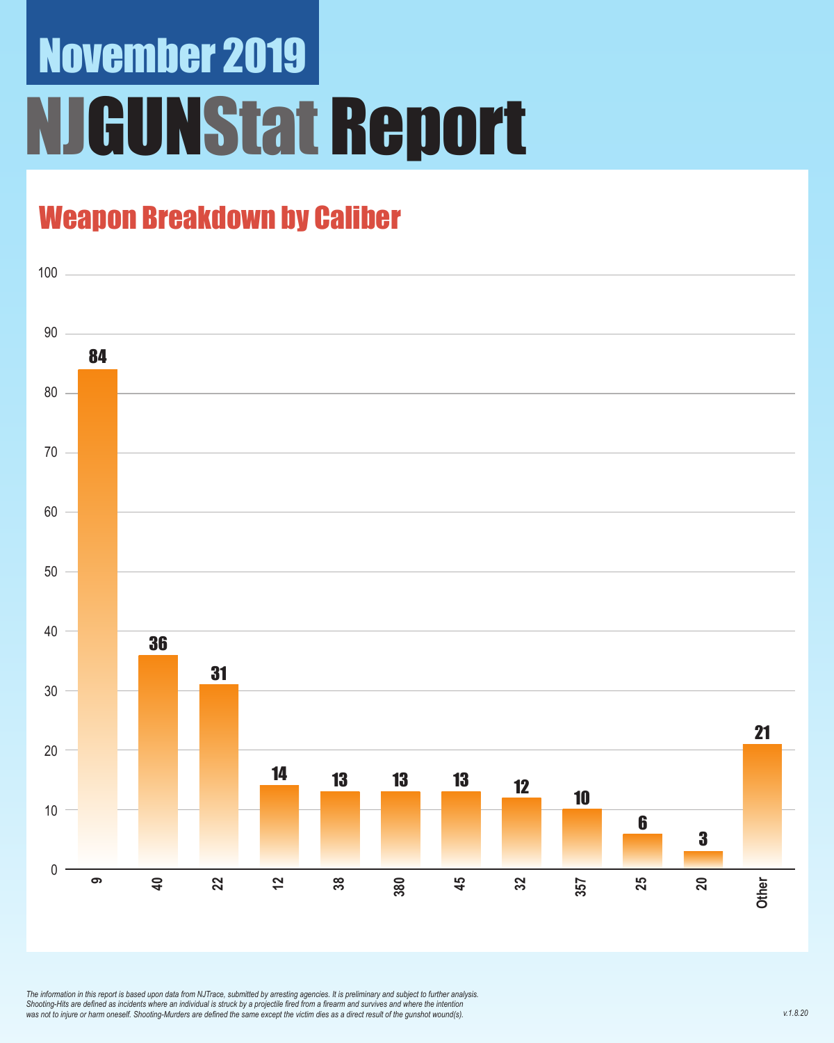# November 2019 NJGUNStat Report

### Weapon Breakdown by Caliber



*The information in this report is based upon data from NJTrace, submitted by arresting agencies. It is preliminary and subject to further analysis. Shooting-Hits are defined as incidents where an individual is struck by a projectile fired from a firearm and survives and where the intention was not to injure or harm oneself. Shooting-Murders are defined the same except the victim dies as a direct result of the gunshot wound(s).*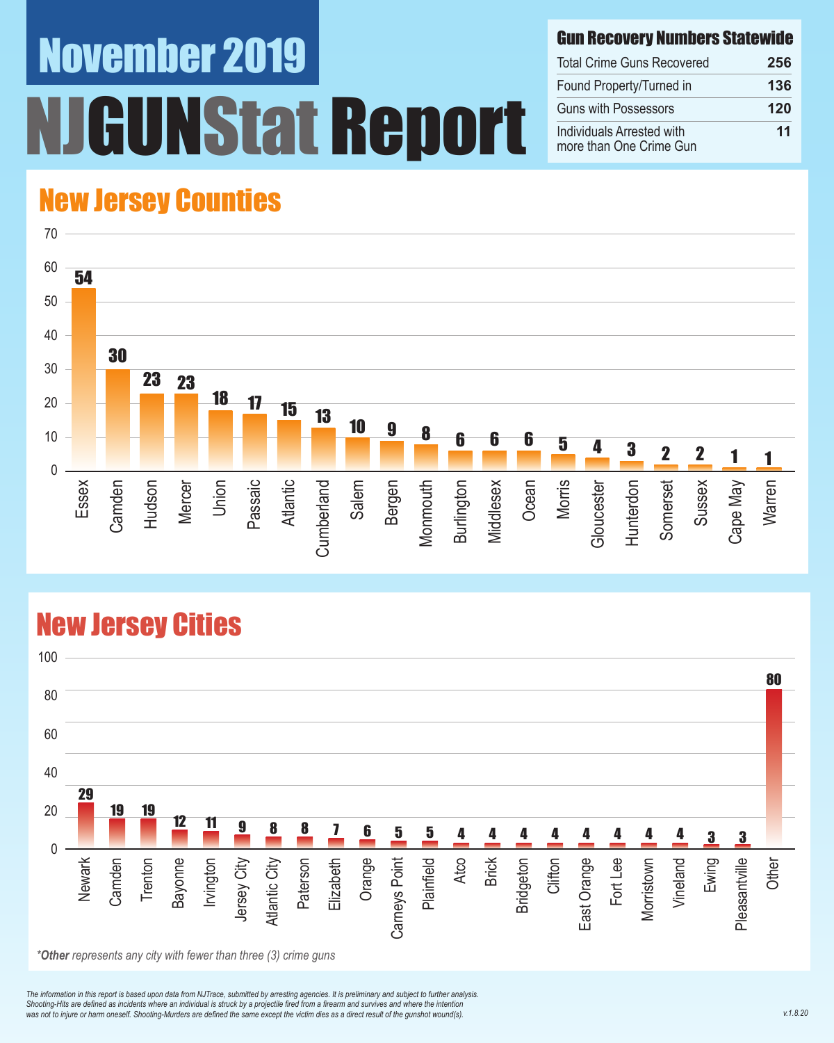# November 2019 NStat Report

#### Gun Recovery Numbers Statewide

| <b>Total Crime Guns Recovered</b>                    | 256 |
|------------------------------------------------------|-----|
| Found Property/Turned in                             | 136 |
| <b>Guns with Possessors</b>                          | 120 |
| Individuals Arrested with<br>more than One Crime Gun | 11  |

### New Jersey Counties



#### New Jersey Cities



*\*Other represents any city with fewer than three (3) crime guns*

*The information in this report is based upon data from NJTrace, submitted by arresting agencies. It is preliminary and subject to further analysis. Shooting-Hits are defined as incidents where an individual is struck by a projectile fired from a firearm and survives and where the intention*  was not to injure or harm oneself. Shooting-Murders are defined the same except the victim dies as a direct result of the gunshot wound(s).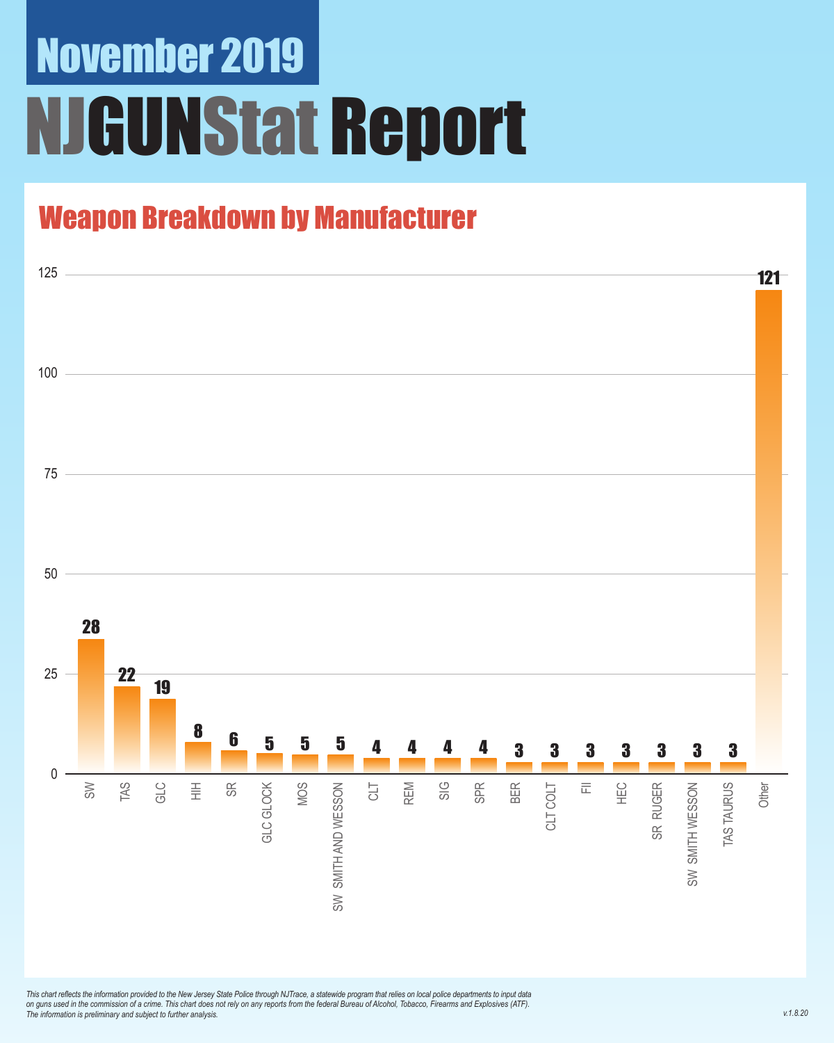### November 2019 **JGUNStat Report**

### Weapon Breakdown by Manufacturer



*This chart reflects the information provided to the New Jersey State Police through NJTrace, a statewide program that relies on local police departments to input data on guns used in the commission of a crime. This chart does not rely on any reports from the federal Bureau of Alcohol, Tobacco, Firearms and Explosives (ATF). The information is preliminary and subject to further analysis.*